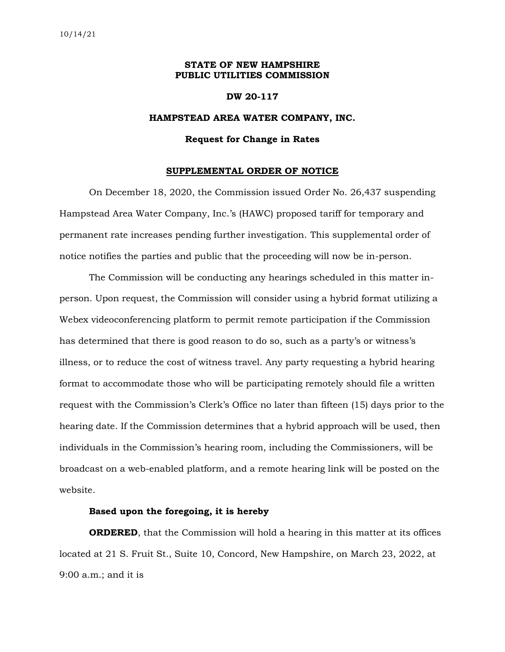## **STATE OF NEW HAMPSHIRE PUBLIC UTILITIES COMMISSION**

#### **DW 20-117**

### **HAMPSTEAD AREA WATER COMPANY, INC.**

#### **Request for Change in Rates**

#### **SUPPLEMENTAL ORDER OF NOTICE**

On December 18, 2020, the Commission issued Order No. 26,437 suspending Hampstead Area Water Company, Inc.'s (HAWC) proposed tariff for temporary and permanent rate increases pending further investigation. This supplemental order of notice notifies the parties and public that the proceeding will now be in-person.

The Commission will be conducting any hearings scheduled in this matter inperson. Upon request, the Commission will consider using a hybrid format utilizing a Webex videoconferencing platform to permit remote participation if the Commission has determined that there is good reason to do so, such as a party's or witness's illness, or to reduce the cost of witness travel. Any party requesting a hybrid hearing format to accommodate those who will be participating remotely should file a written request with the Commission's Clerk's Office no later than fifteen (15) days prior to the hearing date. If the Commission determines that a hybrid approach will be used, then individuals in the Commission's hearing room, including the Commissioners, will be broadcast on a web-enabled platform, and a remote hearing link will be posted on the website.

# **Based upon the foregoing, it is hereby**

**ORDERED**, that the Commission will hold a hearing in this matter at its offices located at 21 S. Fruit St., Suite 10, Concord, New Hampshire, on March 23, 2022, at 9:00 a.m.; and it is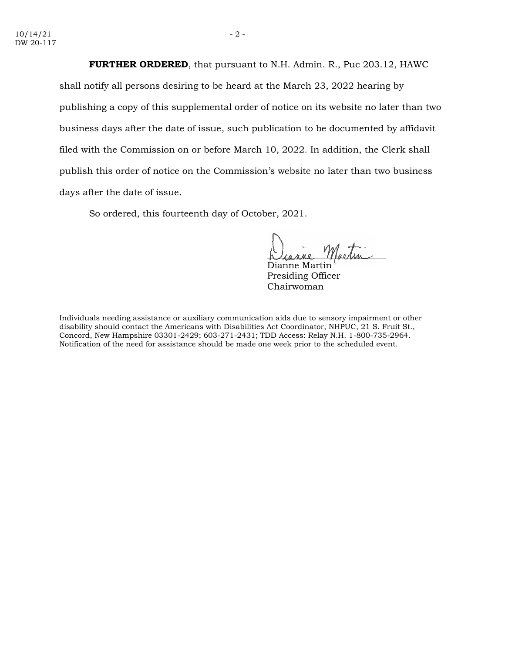**FURTHER ORDERED**, that pursuant to N.H. Admin. R., Puc 203.12, HAWC shall notify all persons desiring to be heard at the March 23, 2022 hearing by publishing a copy of this supplemental order of notice on its website no later than two business days after the date of issue, such publication to be documented by affidavit filed with the Commission on or before March 10, 2022. In addition, the Clerk shall publish this order of notice on the Commission's website no later than two business days after the date of issue.

So ordered, this fourteenth day of October, 2021.

Dianne Martin Presiding Officer Chairwoman

Individuals needing assistance or auxiliary communication aids due to sensory impairment or other disability should contact the Americans with Disabilities Act Coordinator, NHPUC, 21 S. Fruit St., Concord, New Hampshire 03301-2429; 603-271-2431; TDD Access: Relay N.H. 1-800-735-2964. Notification of the need for assistance should be made one week prior to the scheduled event.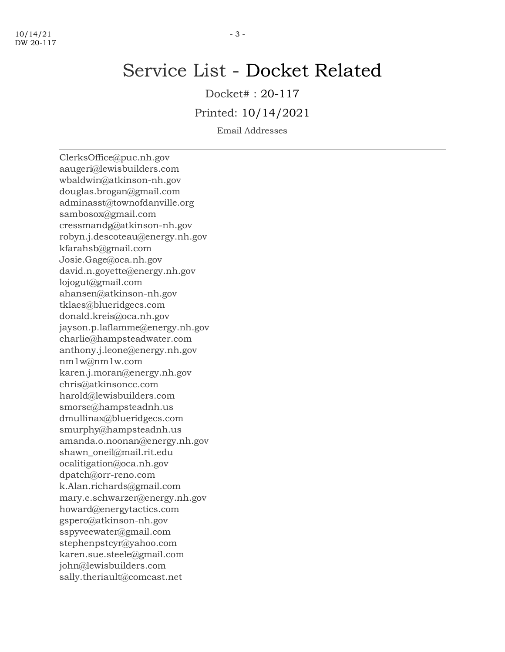# Service List - Docket Related

Docket# : 20-117

Printed: 10/14/2021

Email Addresses

ClerksOffice@puc.nh.gov aaugeri@lewisbuilders.com wbaldwin@atkinson-nh.gov douglas.brogan@gmail.com adminasst@townofdanville.org sambosox@gmail.com cressmandg@atkinson-nh.gov robyn.j.descoteau@energy.nh.gov kfarahsb@gmail.com Josie.Gage@oca.nh.gov david.n.goyette@energy.nh.gov lojogut@gmail.com ahansen@atkinson-nh.gov tklaes@blueridgecs.com donald.kreis@oca.nh.gov jayson.p.laflamme@energy.nh.gov charlie@hampsteadwater.com anthony.j.leone@energy.nh.gov nm1w@nm1w.com karen.j.moran@energy.nh.gov chris@atkinsoncc.com harold@lewisbuilders.com smorse@hampsteadnh.us dmullinax@blueridgecs.com smurphy@hampsteadnh.us amanda.o.noonan@energy.nh.gov shawn\_oneil@mail.rit.edu ocalitigation@oca.nh.gov dpatch@orr-reno.com k.Alan.richards@gmail.com mary.e.schwarzer@energy.nh.gov howard@energytactics.com gspero@atkinson-nh.gov sspyveewater@gmail.com stephenpstcyr@yahoo.com karen.sue.steele@gmail.com john@lewisbuilders.com sally.theriault@comcast.net